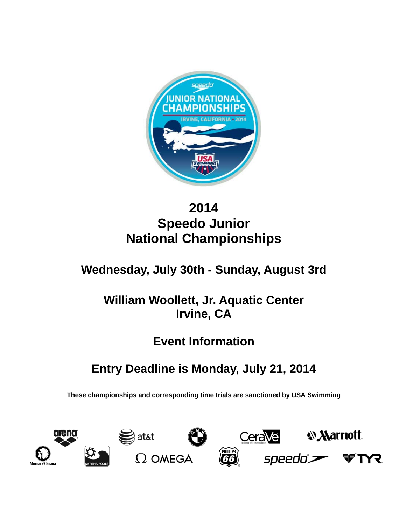

# **2014 Speedo Junior National Championships**

# **Wednesday, July 30th - Sunday, August 3rd**

# **William Woollett, Jr. Aquatic Center Irvine, CA**

# **Event Information**

# **Entry Deadline is Monday, July 21, 2014**

**These championships and corresponding time trials are sanctioned by USA Swimming** 

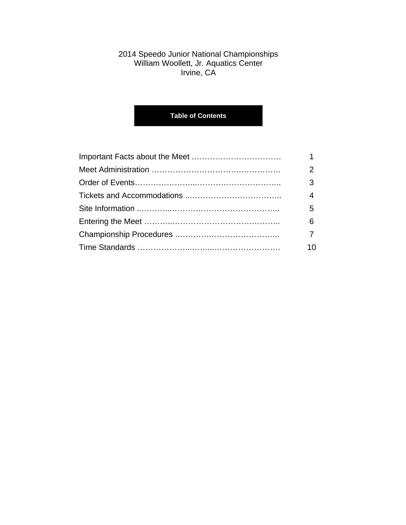## 2014 Speedo Junior National Championships William Woollett, Jr. Aquatics Center Irvine, CA

# **Table of Contents**

| 2   |
|-----|
| 3   |
| 4   |
| 5   |
| 6   |
|     |
| 10. |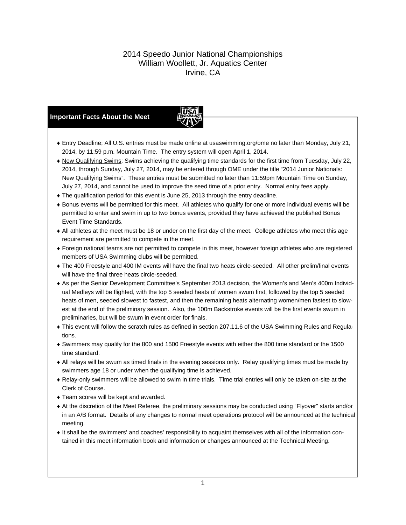## 2014 Speedo Junior National Championships William Woollett, Jr. Aquatics Center Irvine, CA

## **Important Facts About the Meet**



- Entry Deadline; All U.S. entries must be made online at usaswimming.org/ome no later than Monday, July 21, 2014, by 11:59 p.m. Mountain Time. The entry system will open April 1, 2014.
- New Qualifying Swims: Swims achieving the qualifying time standards for the first time from Tuesday, July 22, 2014, through Sunday, July 27, 2014, may be entered through OME under the title "2014 Junior Nationals: New Qualifying Swims". These entries must be submitted no later than 11:59pm Mountain Time on Sunday, July 27, 2014, and cannot be used to improve the seed time of a prior entry. Normal entry fees apply.
- The qualification period for this event is June 25, 2013 through the entry deadline.
- Bonus events will be permitted for this meet. All athletes who qualify for one or more individual events will be permitted to enter and swim in up to two bonus events, provided they have achieved the published Bonus Event Time Standards.
- All athletes at the meet must be 18 or under on the first day of the meet. College athletes who meet this age requirement are permitted to compete in the meet.
- Foreign national teams are not permitted to compete in this meet, however foreign athletes who are registered members of USA Swimming clubs will be permitted.
- The 400 Freestyle and 400 IM events will have the final two heats circle-seeded. All other prelim/final events will have the final three heats circle-seeded.
- As per the Senior Development Committee's September 2013 decision, the Women's and Men's 400m Individual Medleys will be flighted, with the top 5 seeded heats of women swum first, followed by the top 5 seeded heats of men, seeded slowest to fastest, and then the remaining heats alternating women/men fastest to slowest at the end of the preliminary session. Also, the 100m Backstroke events will be the first events swum in preliminaries, but will be swum in event order for finals.
- This event will follow the scratch rules as defined in section 207.11.6 of the USA Swimming Rules and Regulations.
- Swimmers may qualify for the 800 and 1500 Freestyle events with either the 800 time standard or the 1500 time standard.
- All relays will be swum as timed finals in the evening sessions only. Relay qualifying times must be made by swimmers age 18 or under when the qualifying time is achieved.
- Relay-only swimmers will be allowed to swim in time trials. Time trial entries will only be taken on-site at the Clerk of Course.
- Team scores will be kept and awarded.
- At the discretion of the Meet Referee, the preliminary sessions may be conducted using "Flyover" starts and/or in an A/B format. Details of any changes to normal meet operations protocol will be announced at the technical meeting.
- It shall be the swimmers' and coaches' responsibility to acquaint themselves with all of the information contained in this meet information book and information or changes announced at the Technical Meeting.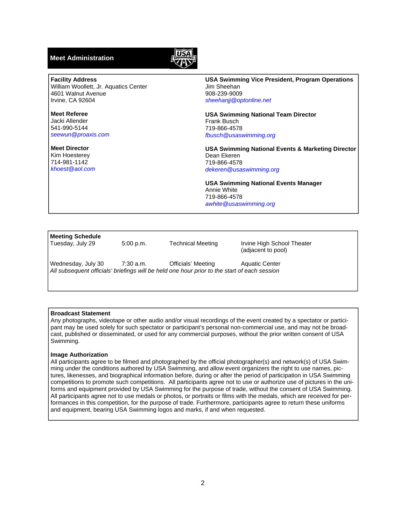## **Meet Administration**



#### **Facility Address**

William Woollett, Jr. Aquatics Center 4601 Walnut Avenue Irvine, CA 92604

**Meet Referee**  Jacki Allender 541-990-5144 *seewun@proaxis.com* 

**Meet Director**  Kim Hoesterey 714-981-1142 *khoest@aol.com*  **USA Swimming Vice President, Program Operations**  Jim Sheehan 908-239-9009 *sheehanjj@optonline.net* 

**USA Swimming National Team Director**  Frank Busch 719-866-4578 *fbusch@usaswimming.org* 

**USA Swimming National Events & Marketing Director**  Dean Ekeren 719-866-4578 *dekeren@usaswimming.org* 

**USA Swimming National Events Manager**  Annie White 719-866-4578 *awhite@usaswimming.org* 

#### **Meeting Schedule**

Tuesday, July 29 5:00 p.m. Technical Meeting Irvine High School Theater (adjacent to pool)

Wednesday, July 30 7:30 a.m. **Officials' Meeting Aquatic Center** *All subsequent officials' briefings will be held one hour prior to the start of each session* 

### **Broadcast Statement**

Any photographs, videotape or other audio and/or visual recordings of the event created by a spectator or participant may be used solely for such spectator or participant's personal non-commercial use, and may not be broadcast, published or disseminated, or used for any commercial purposes, without the prior written consent of USA Swimming.

#### **Image Authorization**

All participants agree to be filmed and photographed by the official photographer(s) and network(s) of USA Swimming under the conditions authored by USA Swimming, and allow event organizers the right to use names, pictures, likenesses, and biographical information before, during or after the period of participation in USA Swimming competitions to promote such competitions. All participants agree not to use or authorize use of pictures in the uniforms and equipment provided by USA Swimming for the purpose of trade, without the consent of USA Swimming. All participants agree not to use medals or photos, or portraits or films with the medals, which are received for performances in this competition, for the purpose of trade. Furthermore, participants agree to return these uniforms and equipment, bearing USA Swimming logos and marks, if and when requested.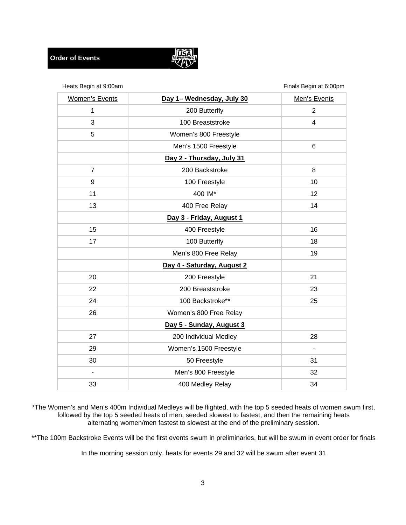

| Heats Begin at 9:00am |                            | Finals Begin at 6:00pm |
|-----------------------|----------------------------|------------------------|
| <b>Women's Events</b> | Day 1- Wednesday, July 30  | Men's Events           |
| 1                     | 200 Butterfly              | $\overline{2}$         |
| 3                     | 100 Breaststroke           | $\overline{4}$         |
| 5                     | Women's 800 Freestyle      |                        |
|                       | Men's 1500 Freestyle       | 6                      |
|                       | Day 2 - Thursday, July 31  |                        |
| $\overline{7}$        | 200 Backstroke             | 8                      |
| 9                     | 100 Freestyle              | 10                     |
| 11                    | 400 IM*                    | 12                     |
| 13                    | 400 Free Relay             | 14                     |
|                       | Day 3 - Friday, August 1   |                        |
| 15                    | 400 Freestyle              | 16                     |
| 17                    | 100 Butterfly              | 18                     |
|                       | Men's 800 Free Relay       | 19                     |
|                       | Day 4 - Saturday, August 2 |                        |
| 20                    | 200 Freestyle              | 21                     |
| 22                    | 200 Breaststroke           | 23                     |
| 24                    | 100 Backstroke**           | 25                     |
| 26                    | Women's 800 Free Relay     |                        |
|                       | Day 5 - Sunday, August 3   |                        |
| 27                    | 200 Individual Medley      | 28                     |
| 29                    | Women's 1500 Freestyle     | $\blacksquare$         |
| 30                    | 50 Freestyle               | 31                     |
|                       | Men's 800 Freestyle        | 32                     |
| 33                    | 400 Medley Relay           | 34                     |

\*The Women's and Men's 400m Individual Medleys will be flighted, with the top 5 seeded heats of women swum first, followed by the top 5 seeded heats of men, seeded slowest to fastest, and then the remaining heats alternating women/men fastest to slowest at the end of the preliminary session.

\*\*The 100m Backstroke Events will be the first events swum in preliminaries, but will be swum in event order for finals

In the morning session only, heats for events 29 and 32 will be swum after event 31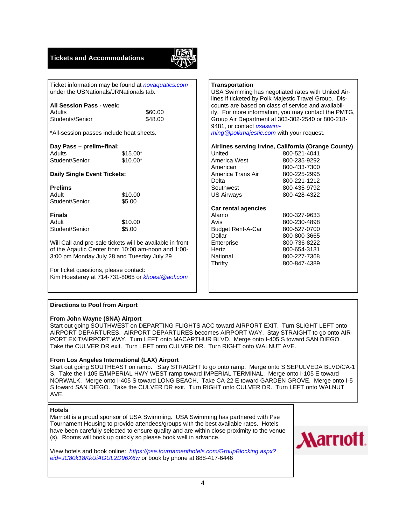## **Tickets and Accommodations**



Ticket information may be found at *novaquatics.com*  under the USNationals/JRNationals tab.

# **All Session Pass - week:**

| Adults          | \$60.00 |
|-----------------|---------|
| Students/Senior | \$48.00 |

\*All-session passes include heat sheets.

# **Day Pass – prelim+final:**

Adults \$15.00\* Student/Senior \$10.00\*

### **Daily Single Event Tickets:**

| <b>Prelims</b> |         |
|----------------|---------|
| Adult          | \$10.00 |
| Student/Senior | \$5.00  |

**Finals**  Adult \$10.00 Student/Senior \$5.00

Will Call and pre-sale tickets will be available in front of the Aqautic Center from 10:00 am-noon and 1:00- 3:00 pm Monday July 28 and Tuesday July 29

For ticket questions, please contact: Kim Hoesterey at 714-731-8065 or *khoest@aol.com* 

## **Transportation**  USA Swimming has negotiated rates with United Airlines if ticketed by Polk Majestic Travel Group. Discounts are based on class of service and availability. For more information, you may contact the PMTG, Group Air Department at 303-302-2540 or 800-218- 9481, or contact *usaswimming@polkmajestic.com* with your request. **Airlines serving Irvine, California (Orange County)**

| United                   | 800-521-4041 |
|--------------------------|--------------|
| America West             | 800-235-9292 |
| American                 | 800-433-7300 |
| America Trans Air        | 800-225-2995 |
| Delta                    | 800-221-1212 |
| Southwest                | 800-435-9792 |
| <b>US Airways</b>        | 800-428-4322 |
|                          |              |
| Car rental agencies      |              |
| Alamo                    | 800-327-9633 |
| Avis                     | 800-230-4898 |
| <b>Budget Rent-A-Car</b> | 800-527-0700 |
| Dollar                   | 800-800-3665 |
| Enterprise               | 800-736-8222 |
| Hertz                    | 800-654-3131 |

Thrifty 800-847-4389

### **Directions to Pool from Airport**

#### **From John Wayne (SNA) Airport**

Start out going SOUTHWEST on DEPARTING FLIGHTS ACC toward AIRPORT EXIT. Turn SLIGHT LEFT onto AIRPORT DEPARTURES. AIRPORT DEPARTURES becomes AIRPORT WAY. Stay STRAIGHT to go onto AIR-PORT EXIT/AIRPORT WAY. Turn LEFT onto MACARTHUR BLVD. Merge onto I-405 S toward SAN DIEGO. Take the CULVER DR exit. Turn LEFT onto CULVER DR. Turn RIGHT onto WALNUT AVE.

#### **From Los Angeles International (LAX) Airport**

Start out going SOUTHEAST on ramp. Stay STRAIGHT to go onto ramp. Merge onto S SEPULVEDA BLVD/CA-1 S. Take the I-105 E/IMPERIAL HWY WEST ramp toward IMPERIAL TERMINAL. Merge onto I-105 E toward NORWALK. Merge onto I-405 S toward LONG BEACH. Take CA-22 E toward GARDEN GROVE. Merge onto I-5 S toward SAN DIEGO. Take the CULVER DR exit. Turn RIGHT onto CULVER DR. Turn LEFT onto WALNUT AVE.

#### **Hotels**

Marriott is a proud sponsor of USA Swimming. USA Swimming has partnered with Pse Tournament Housing to provide attendees/groups with the best available rates. Hotels have been carefully selected to ensure quality and are within close proximity to the venue (s). Rooms will book up quickly so please book well in advance.

View hotels and book online: *https://pse.tournamenthotels.com/GroupBlocking.aspx? eid=JC80k18KkUiAGUL2D96X6w* or book by phone at 888-417-6446

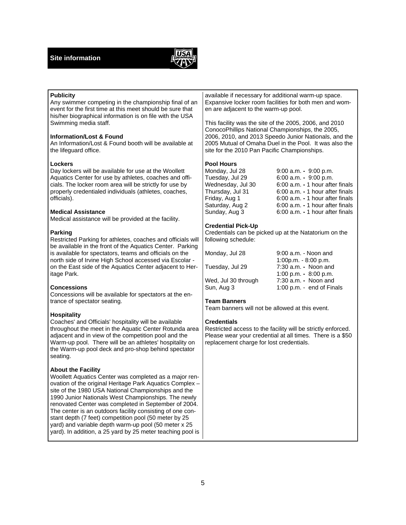

| <b>Publicity</b><br>Any swimmer competing in the championship final of an<br>event for the first time at this meet should be sure that<br>his/her biographical information is on file with the USA<br>Swimming media staff.                                                                                                                                                                                                                                                                                                                                       | available if necessary for additional warm-up space.<br>Expansive locker room facilities for both men and wom-<br>en are adjacent to the warm-up pool.<br>This facility was the site of the 2005, 2006, and 2010    |                                                                                                                                                                                            |  |
|-------------------------------------------------------------------------------------------------------------------------------------------------------------------------------------------------------------------------------------------------------------------------------------------------------------------------------------------------------------------------------------------------------------------------------------------------------------------------------------------------------------------------------------------------------------------|---------------------------------------------------------------------------------------------------------------------------------------------------------------------------------------------------------------------|--------------------------------------------------------------------------------------------------------------------------------------------------------------------------------------------|--|
| <b>Information/Lost &amp; Found</b><br>An Information/Lost & Found booth will be available at<br>the lifeguard office.                                                                                                                                                                                                                                                                                                                                                                                                                                            | ConocoPhillips National Championships, the 2005,<br>2006, 2010, and 2013 Speedo Junior Nationals, and the<br>2005 Mutual of Omaha Duel in the Pool. It was also the<br>site for the 2010 Pan Pacific Championships. |                                                                                                                                                                                            |  |
| Lockers<br>Day lockers will be available for use at the Woollett<br>Aquatics Center for use by athletes, coaches and offi-<br>cials. The locker room area will be strictly for use by<br>properly credentialed individuals (athletes, coaches,<br>officials).                                                                                                                                                                                                                                                                                                     | <b>Pool Hours</b><br>Monday, Jul 28<br>Tuesday, Jul 29<br>Wednesday, Jul 30<br>Thursday, Jul 31<br>Friday, Aug 1<br>Saturday, Aug 2                                                                                 | 9:00 a.m. - 9:00 p.m.<br>6:00 a.m. - 9:00 p.m.<br>6:00 a.m. - 1 hour after finals<br>6:00 a.m. - 1 hour after finals<br>6:00 a.m. - 1 hour after finals<br>6:00 a.m. - 1 hour after finals |  |
| <b>Medical Assistance</b><br>Medical assistance will be provided at the facility.                                                                                                                                                                                                                                                                                                                                                                                                                                                                                 | Sunday, Aug 3<br><b>Credential Pick-Up</b>                                                                                                                                                                          | 6:00 a.m. - 1 hour after finals                                                                                                                                                            |  |
| <b>Parking</b><br>Restricted Parking for athletes, coaches and officials will<br>be available in the front of the Aquatics Center. Parking                                                                                                                                                                                                                                                                                                                                                                                                                        | following schedule:                                                                                                                                                                                                 | Credentials can be picked up at the Natatorium on the                                                                                                                                      |  |
| is available for spectators, teams and officials on the<br>north side of Irvine High School accessed via Escolar -<br>on the East side of the Aquatics Center adjacent to Her-<br>itage Park.                                                                                                                                                                                                                                                                                                                                                                     | Monday, Jul 28<br>Tuesday, Jul 29                                                                                                                                                                                   | $9:00$ a.m. - Noon and<br>1:00p.m. - 8:00 p.m.<br>7:30 a.m. - Noon and<br>1:00 p.m. - 8:00 p.m.                                                                                            |  |
| <b>Concessions</b><br>Concessions will be available for spectators at the en-                                                                                                                                                                                                                                                                                                                                                                                                                                                                                     | Wed, Jul 30 through<br>Sun, Aug 3                                                                                                                                                                                   | 7:30 a.m. - Noon and<br>1:00 p.m. - end of Finals                                                                                                                                          |  |
| trance of spectator seating.<br><b>Hospitality</b>                                                                                                                                                                                                                                                                                                                                                                                                                                                                                                                | <b>Team Banners</b><br>Team banners will not be allowed at this event.                                                                                                                                              |                                                                                                                                                                                            |  |
| Coaches' and Officials' hospitality will be available<br>throughout the meet in the Aquatic Center Rotunda area<br>adjacent and in view of the competition pool and the<br>Warm-up pool. There will be an athletes' hospitality on<br>the Warm-up pool deck and pro-shop behind spectator<br>seating.                                                                                                                                                                                                                                                             | <b>Credentials</b><br>Restricted access to the facility will be strictly enforced.<br>Please wear your credential at all times. There is a \$50<br>replacement charge for lost credentials.                         |                                                                                                                                                                                            |  |
| <b>About the Facility</b><br>Woollett Aquatics Center was completed as a major ren-<br>ovation of the original Heritage Park Aquatics Complex -<br>site of the 1980 USA National Championships and the<br>1990 Junior Nationals West Championships. The newly<br>renovated Center was completed in September of 2004.<br>The center is an outdoors facility consisting of one con-<br>stant depth (7 feet) competition pool (50 meter by 25<br>yard) and variable depth warm-up pool (50 meter x 25<br>yard). In addition, a 25 yard by 25 meter teaching pool is |                                                                                                                                                                                                                     |                                                                                                                                                                                            |  |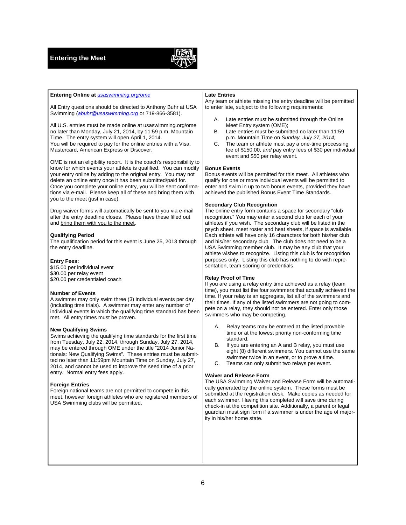**Entering Online at** *usaswimming.org/ome* 



#### All Entry questions should be directed to Anthony Buhr at USA Swimming (*abuhr@usaswimming.org* or 719-866-3581). All U.S. entries must be made online at usaswimming.org/ome no later than Monday, July 21, 2014, by 11:59 p.m. Mountain Time. The entry system will open April 1, 2014. You will be required to pay for the online entries with a Visa, Mastercard, American Express or Discover. OME is not an eligibility report. It is the coach's responsibility to know for which events your athlete is qualified. You can modify your entry online by adding to the original entry. You may not delete an online entry once it has been submitted/paid for. Once you complete your online entry, you will be sent confirmations via e-mail. Please keep all of these and bring them with you to the meet (just in case). Drug waiver forms will automatically be sent to you via e-mail after the entry deadline closes. Please have these filled out and bring them with you to the meet. **Qualifying Period**  The qualification period for this event is June 25, 2013 through the entry deadline. **Entry Fees:**  \$15.00 per individual event \$30.00 per relay event \$20.00 per credentialed coach **Number of Events**  A swimmer may only swim three (3) individual events per day (including time trials). A swimmer may enter any number of individual events in which the qualifying time standard has been met. All entry times must be proven. **New Qualifying Swims Bonus Events Secondary Club Recognition Relay Proof of Time**  swimmers who may be competing.

Swims achieving the qualifying time standards for the first time from Tuesday, July 22, 2014, through Sunday, July 27, 2014, may be entered through OME under the title "2014 Junior Nationals: New Qualifying Swims". These entries must be submitted no later than 11:59pm Mountain Time on Sunday, July 27, 2014, and cannot be used to improve the seed time of a prior entry. Normal entry fees apply.

#### **Foreign Entries**

Foreign national teams are not permitted to compete in this meet, however foreign athletes who are registered members of USA Swimming clubs will be permitted.

#### **Late Entries**

Any team or athlete missing the entry deadline will be permitted to enter late, subject to the following requirements:

- A. Late entries must be submitted through the Online Meet Entry system (OME);
- B. Late entries must be submitted no later than 11:59 p.m. Mountain Time on *Sunday, July 27, 2014;*
- C. The team or athlete must pay a one-time processing fee of \$150.00, *and* pay entry fees of \$30 per individual event and \$50 per relay event.

Bonus events will be permitted for this meet. All athletes who qualify for one or more individual events will be permitted to enter and swim in up to two bonus events, provided they have achieved the published Bonus Event Time Standards.

The online entry form contains a space for secondary "club recognition." You may enter a second club for each of your athletes if you wish. The secondary club will be listed in the psych sheet, meet roster and heat sheets, if space is available. Each athlete will have only 16 characters for both his/her club and his/her secondary club. The club does not need to be a USA Swimming member club. It may be any club that your athlete wishes to recognize. Listing this club is for recognition purposes only. Listing this club has nothing to do with representation, team scoring or credentials.

If you are using a relay entry time achieved as a relay (team time), you must list the four swimmers that actually achieved the time. If your relay is an aggregate, list all of the swimmers and their times. If any of the listed swimmers are not going to compete on a relay, they should not be entered. Enter only those

- A. Relay teams may be entered at the listed provable time or at the lowest priority non-conforming time standard.
- B. If you are entering an A and B relay, you must use eight (8) different swimmers. You cannot use the same swimmer twice in an event, or to prove a time.
- C. Teams can only submit two relays per event.

#### **Waiver and Release Form**

The USA Swimming Waiver and Release Form will be automatically generated by the online system. These forms must be submitted at the registration desk. Make copies as needed for each swimmer. Having this completed will save time during check-in at the competition site. Additionally, a parent or legal guardian must sign form if a swimmer is under the age of majority in his/her home state.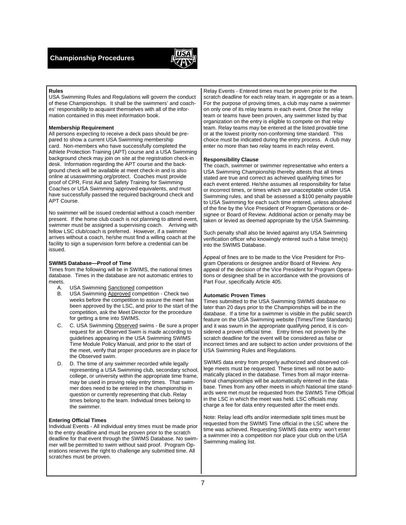

#### **Rules**

USA Swimming Rules and Regulations will govern the conduct of these Championships. It shall be the swimmers' and coaches' responsibility to acquaint themselves with all of the information contained in this meet information book.

#### **Membership Requirement**

All persons expecting to receive a deck pass should be prepared to show a current USA Swimming membership card. Non-members who have successfully completed the Athlete Protection Training (APT) course and a USA Swimming background check may join on site at the registration check-in desk. Information regarding the APT course and the background check will be available at meet check-in and is also online at usaswimming.org/protect. Coaches must provide proof of CPR, First Aid and Safety Training for Swimming Coaches or USA Swimming approved equivalents, and must have successfully passed the required background check and APT Course.

No swimmer will be issued credential without a coach member present. If the home club coach is not planning to attend event, swimmer must be assigned a supervising coach. Arriving with fellow LSC club/coach is preferred. However, if a swimmer arrives without a coach, he/she must find a willing coach at the facility to sign a supervision form before a credential can be issued.

#### **SWIMS Database—Proof of Time**

Times from the following will be in SWIMS, the national times database. Times in the database are not automatic entries to meets.<br>A.

- **USA Swimming Sanctioned competition**
- B. USA Swimming Approved competition Check two weeks before the competition to assure the meet has been approved by the LSC, and prior to the start of the competition, ask the Meet Director for the procedure for getting a time into SWIMS.
- C. C. USA Swimming Observed swims Be sure a proper request for an Observed Swim is made according to guidelines appearing in the USA Swimming SWIMS Time Module Policy Manual, and prior to the start of the meet, verify that proper procedures are in place for the Observed swim.
- D. D. The time of any swimmer recorded while legally representing a USA Swimming club, secondary school, college, or university within the appropriate time frame, may be used in proving relay entry times. That swimmer does need to be entered in the championship in question or currently representing that club. Relay times belong to the team. Individual times belong to the swimmer.

#### **Entering Official Times**

Individual Events - All individual entry times must be made prior to the entry deadline and must be proven prior to the scratch deadline for that event through the SWIMS Database. No swimmer will be permitted to swim without said proof. Program Operations reserves the right to challenge any submitted time. All scratches must be proven.

Relay Events - Entered times must be proven prior to the scratch deadline for each relay team, in aggregate or as a team. For the purpose of proving times, a club may name a swimmer on only one of its relay teams in each event. Once the relay team or teams have been proven, any swimmer listed by that organization on the entry is eligible to compete on that relay team. Relay teams may be entered at the listed provable time or at the lowest priority non-conforming time standard. This choice must be indicated during the entry process. A club may enter no more than two relay teams in each relay event.

#### **Responsibility Clause**

The coach, swimmer or swimmer representative who enters a USA Swimming Championship thereby attests that all times stated are true and correct as achieved qualifying times for each event entered. He/she assumes all responsibility for false or incorrect times, or times which are unacceptable under USA Swimming rules, and shall be assessed a \$100 penalty payable to USA Swimming for each such time entered, unless absolved of the fine by the Vice President of Program Operations or designee or Board of Review. Additional action or penalty may be taken or levied as deemed appropriate by the USA Swimming.

Such penalty shall also be levied against any USA Swimming verification officer who knowingly entered such a false time(s) into the SWIMS Database.

Appeal of fines are to be made to the Vice President for Program Operations or designee and/or Board of Review. Any appeal of the decision of the Vice President for Program Operations or designee shall be in accordance with the provisions of Part Four, specifically Article 405.

#### **Automatic Proven Times**

Times submitted to the USA Swimming SWIMS database no later than 20 days prior to the Championships will be in the database. If a time for a swimmer is visible in the public search feature on the USA Swimming website (Times/Time Standards) and it was swum in the appropriate qualifying period, it is considered a proven official time. Entry times not proven by the scratch deadline for the event will be considered as false or incorrect times and are subject to action under provisions of the USA Swimming Rules and Regulations.

SWIMS data entry from properly authorized and observed college meets must be requested. These times will not be automatically placed in the database. Times from all major international championships will be automatically entered in the database. Times from any other meets in which National time standards were met must be requested from the SWIMS Time Official in the LSC in which the meet was held. LSC officials may charge a fee for data entry requested after the meet ends.

Note: Relay lead offs and/or intermediate split times must be requested from the SWIMS Time official in the LSC where the time was achieved. Requesting SWIMS data entry won't enter a swimmer into a competition nor place your club on the USA Swimming mailing list.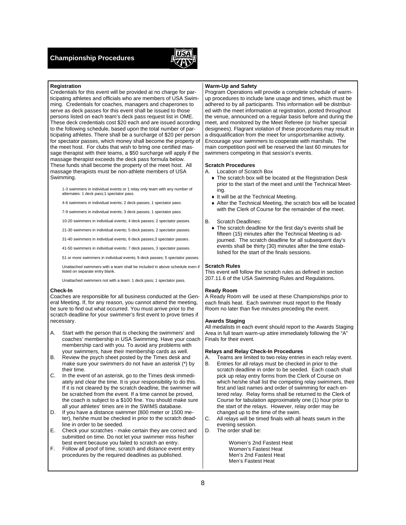

#### **Registration**

Credentials for this event will be provided at no charge for participating athletes and officials who are members of USA Swimming. Credentials for coaches, managers and chaperones to serve as deck passes for this event shall be issued to those persons listed on each team's deck pass request list in OME. These deck credentials cost \$20 each and are issued according to the following schedule, based upon the total number of participating athletes. There shall be a surcharge of \$20 per person for spectator passes, which money shall become the property of the meet host. For clubs that wish to bring one certified massage therapist with their teams, a \$50 surcharge will apply if the massage therapist exceeds the deck pass formula below. These funds shall become the property of the meet host. All massage therapists must be non-athlete members of USA Swimming.

1-3 swimmers in individual events or 1 relay only team with any number of alternates: 1 deck pass;1 spectator pass.

4-6 swimmers in individual events; 2 deck passes; 1 spectator pass.

7-9 swimmers in individual events; 3 deck passes; 1 spectator pass.

10-20 swimmers in individual events; 4 deck passes; 2 spectator passes.

21-30 swimmers in individual events; 5 deck passes; 2 spectator passes.

31-40 swimmers in individual events; 6 deck passes;3 spectator passes.

41-50 swimmers in individual events; 7 deck passes, 3 spectator passes.

51 or more swimmers in individual events; 9 deck passes; 5 spectator passes.

Unattached swimmers with a team shall be included in above schedule even if listed on separate entry blank.

Unattached swimmers not with a team: 1 deck pass; 1 spectator pass.

#### **Check-In**

Coaches are responsible for all business conducted at the General Meeting. If, for any reason, you cannot attend the meeting, be sure to find out what occurred. You must arrive prior to the scratch deadline for your swimmer's first event to prove times if necessary.

- A. Start with the person that is checking the swimmers' and coaches' membership in USA Swimming. Have your coach membership card with you. To avoid any problems with your swimmers, have their membership cards as well.
- B. Review the psych sheet posted by the Times desk and make sure your swimmers do not have an asterisk (\*) by their time.
- C. In the event of an asterisk, go to the Times desk immediately and clear the time. It is your responsibility to do this. If it is not cleared by the scratch deadline, the swimmer will be scratched from the event. If a time cannot be proved, the coach is subject to a \$100 fine. You should make sure all your athletes' times are in the SWIMS database.
- D. If you have a distance swimmer (800 meter or 1500 meter), he/she must be checked in prior to the scratch deadline in order to be seeded.
- E. Check your scratches make certain they are correct and submitted on time. Do not let your swimmer miss his/her best event because you failed to scratch an entry.
- F. Follow all proof of time, scratch and distance event entry procedures by the required deadlines as published.

#### **Warm-Up and Safety**

Program Operations will provide a complete schedule of warmup procedures to include lane usage and times, which must be adhered to by all participants. This information will be distributed with the meet information at registration, posted throughout the venue, announced on a regular basis before and during the meet, and monitored by the Meet Referee (or his/her special designees). Flagrant violation of these procedures may result in a disqualification from the meet for unsportsmanlike activity. Encourage your swimmers to cooperate with marshals. The main competition pool will be reserved the last 60 minutes for swimmers competing in that session's events.

#### **Scratch Procedures**

- A. Location of Scratch Box
	- The scratch box will be located at the Registration Desk prior to the start of the meet and until the Technical Meeting.
	- $\bullet$  It will be at the Technical Meeting.
	- After the Technical Meeting, the scratch box will be located with the Clerk of Course for the remainder of the meet.

#### B. Scratch Deadlines:

The scratch deadline for the first day's events shall be fifteen (15) minutes after the Technical Meeting is adjourned. The scratch deadline for all subsequent day's events shall be thirty (30) minutes after the time established for the start of the finals sessions.

#### **Scratch Rules**

This event will follow the scratch rules as defined in section 207.11.6 of the USA Swimming Rules and Regulations.

#### **Ready Room**

A Ready Room will be used at these Championships prior to each finals heat. Each swimmer must report to the Ready Room no later than five minutes preceding the event.

#### **Awards Staging**

All medalists in each event should report to the Awards Staging Area in full team warm-up attire immediately following the "A" Finals for their event.

#### **Relays and Relay Check-In Procedures**

- A. Teams are limited to two relay entries in each relay event.
- B. Entries for all relays must be checked in prior to the scratch deadline in order to be seeded. Each coach shall pick up relay entry forms from the Clerk of Course on which he/she shall list the competing relay swimmers, their first and last names and order of swimming for each entered relay. Relay forms shall be returned to the Clerk of Course for tabulation approximately one (1) hour prior to the start of the relays. However, relay order may be changed up to the time of the swim.
- C. All relays will be timed finals with all heats swum in the evening session.
- D. The order shall be:

Women's 2nd Fastest Heat Women's Fastest Heat Men's 2nd Fastest Heat Men's Fastest Heat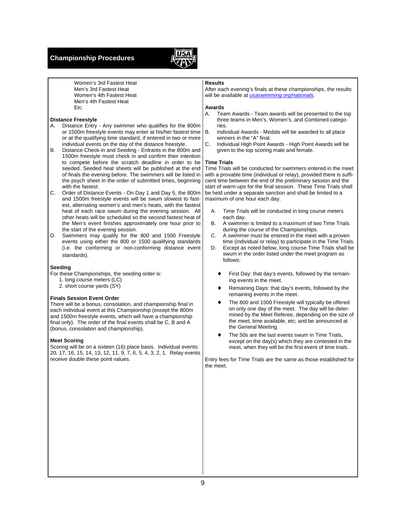### **Championship Procedures**



 Women's 3rd Fastest Heat Men's 3rd Fastest Heat Women's 4th Fastest Heat Men's 4th Fastest Heat Etc.

#### **Distance Freestyle**

- A. Distance Entry Any swimmer who qualifies for the 800m or 1500m freestyle events may enter at his/her fastest time or at the qualifying time standard, if entered in two or more individual events on the day of the distance freestyle.
- B. Distance Check-in and Seeding Entrants in the 800m and 1500m freestyle must check in and confirm their intention to compete before the scratch deadline in order to be seeded. Seeded heat sheets will be published at the end of finals the evening before. The swimmers will be listed in the psych sheet in the order of submitted times, beginning with the fastest.
- C. Order of Distance Events On Day 1 and Day 5, the 800m and 1500m freestyle events will be swum slowest to fastest, alternating women's and men's heats, with the fastest heat of each race swum during the evening session. All other heats will be scheduled so the second fastest heat of the Men's event finishes approximately one hour prior to the start of the evening session.
- D. Swimmers may qualify for the 800 and 1500 Freestyle events using either the 800 or 1500 qualifying standards (i.e. the conforming *or* non-conforming distance event standards).

#### **Seeding**

- For these Championships, the seeding order is:
	- 1. long course meters (LC)
	- 2. short course yards (SY)

#### **Finals Session Event Order**

There will be a bonus, consolation, and championship final in each individual event at this Championship (except the 800m and 1500m freestyle events, which will have a championship final only). The order of the final events shall be C, B and A (bonus, consolation and championship).

#### **Meet Scoring**

Scoring will be on a sixteen (16) place basis. Individual events: 20, 17, 16, 15, 14, 13, 12, 11, 9, 7, 6, 5, 4, 3, 2, 1. Relay events receive double these point values.

#### **Results**

After each evening's finals at these championships, the results will be available at *usaswimming.org/nationals.*

#### **Awards**

- A. Team Awards Team awards will be presented to the top three teams in Men's, Women's, and Combined categories.
- B. Individual Awards Medals will be awarded to all place winners in the "A" final.
- C. Individual High Point Awards High Point Awards will be given to the top scoring male and female.

#### **Time Trials**

Time Trials will be conducted for swimmers entered in the meet with a provable time (individual or relay), provided there is sufficient time between the end of the preliminary session and the start of warm-ups for the final session. These Time Trials shall be held under a separate sanction and shall be limited to a maximum of one hour each day.

- A. Time Trials will be conducted in long course meters each day.
- B. A swimmer is limited to a maximum of two Time Trials during the course of the Championships.
- C. A swimmer must be entered in the meet with a proven time (individual or relay) to participate in the Time Trials.
- D. Except as noted below, long course Time Trials shall be swum in the order listed under the meet program as follows:
	- First Day: that day's events, followed by the remaining events in the meet.
	- Remaining Days: that day's events, followed by the remaining events in the meet.
	- The 800 and 1500 Freestyle will typically be offered on only one day of the meet. The day will be determined by the Meet Referee, depending on the size of the meet, time available, etc; and be announced at the General Meeting.
	- The 50s are the last events swum in Time Trials, except on the day(s) which they are contested in the meet, when they will be the first event of time trials.

Entry fees for Time Trials are the same as those established for the meet.